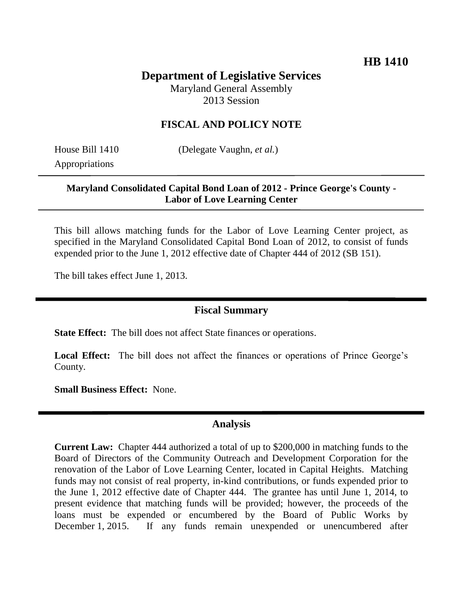# **Department of Legislative Services**

Maryland General Assembly 2013 Session

## **FISCAL AND POLICY NOTE**

Appropriations

House Bill 1410 (Delegate Vaughn, *et al.*)

### **Maryland Consolidated Capital Bond Loan of 2012 - Prince George's County - Labor of Love Learning Center**

This bill allows matching funds for the Labor of Love Learning Center project, as specified in the Maryland Consolidated Capital Bond Loan of 2012, to consist of funds expended prior to the June 1, 2012 effective date of Chapter 444 of 2012 (SB 151).

The bill takes effect June 1, 2013.

#### **Fiscal Summary**

**State Effect:** The bill does not affect State finances or operations.

Local Effect: The bill does not affect the finances or operations of Prince George's County.

**Small Business Effect:** None.

#### **Analysis**

**Current Law:** Chapter 444 authorized a total of up to \$200,000 in matching funds to the Board of Directors of the Community Outreach and Development Corporation for the renovation of the Labor of Love Learning Center, located in Capital Heights. Matching funds may not consist of real property, in-kind contributions, or funds expended prior to the June 1, 2012 effective date of Chapter 444. The grantee has until June 1, 2014, to present evidence that matching funds will be provided; however, the proceeds of the loans must be expended or encumbered by the Board of Public Works by December 1, 2015. If any funds remain unexpended or unencumbered after